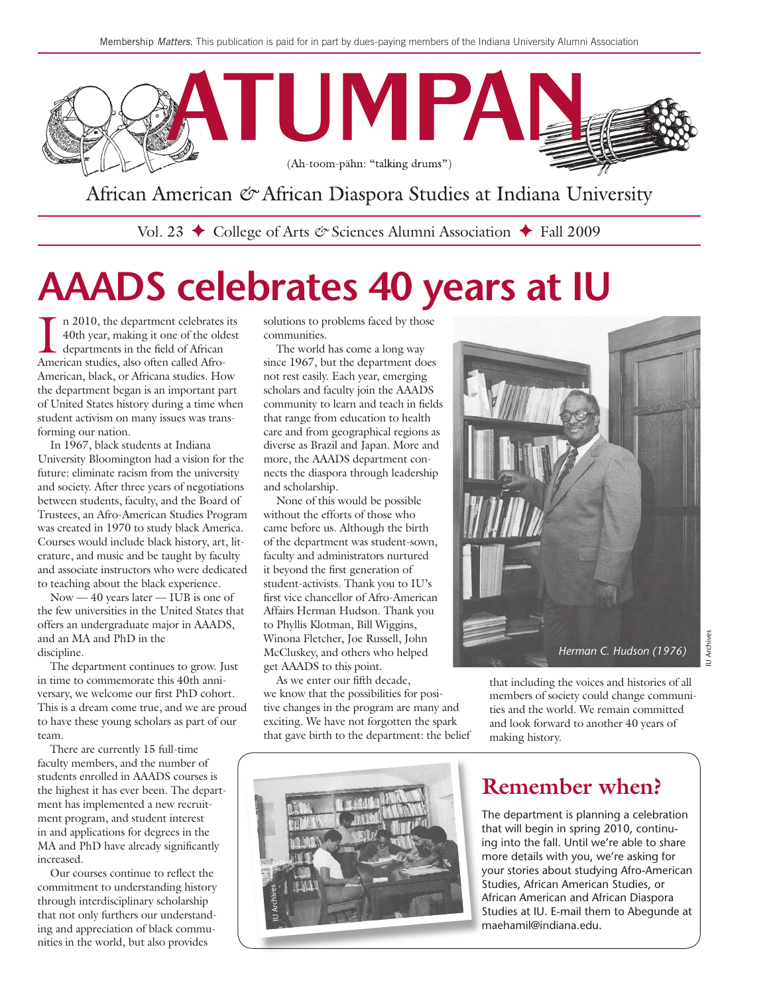

African American & African Diaspora Studies at Indiana University

Vol. 23 ← College of Arts & Sciences Alumni Association ← Fall 2009

# **AAADS celebrates 40 years at IU**

In 2010, the department celebrates<br>40th year, making it one of the old<br>departments in the field of African<br>American studies, also often called Afron 2010, the department celebrates its 40th year, making it one of the oldest departments in the field of African American, black, or Africana studies. How the department began is an important part of United States history during a time when student activism on many issues was transforming our nation.

In 1967, black students at Indiana University Bloomington had a vision for the future: eliminate racism from the university and society. After three years of negotiations between students, faculty, and the Board of Trustees, an Afro-American Studies Program was created in 1970 to study black America. Courses would include black history, art, literature, and music and be taught by faculty and associate instructors who were dedicated to teaching about the black experience.

Now — 40 years later — IUB is one of the few universities in the United States that offers an undergraduate major in AAADS, and an MA and PhD in the discipline.

The department continues to grow. Just in time to commemorate this 40th anniversary, we welcome our first PhD cohort. This is a dream come true, and we are proud to have these young scholars as part of our team.

There are currently 15 full-time faculty members, and the number of students enrolled in AAADS courses is the highest it has ever been. The department has implemented a new recruitment program, and student interest in and applications for degrees in the MA and PhD have already significantly increased.

Our courses continue to reflect the commitment to understanding history through interdisciplinary scholarship that not only furthers our understanding and appreciation of black communities in the world, but also provides

solutions to problems faced by those communities.

The world has come a long way since 1967, but the department does not rest easily. Each year, emerging scholars and faculty join the AAADS community to learn and teach in fields that range from education to health care and from geographical regions as diverse as Brazil and Japan. More and more, the AAADS department connects the diaspora through leadership and scholarship.

None of this would be possible without the efforts of those who came before us. Although the birth of the department was student-sown, faculty and administrators nurtured it beyond the first generation of student-activists. Thank you to IU's first vice chancellor of Afro-American Affairs Herman Hudson. Thank you to Phyllis Klotman, Bill Wiggins, Winona Fletcher, Joe Russell, John McCluskey, and others who helped get AAADS to this point.

As we enter our fifth decade, we know that the possibilities for positive changes in the program are many and exciting. We have not forgotten the spark that gave birth to the department: the belief



that including the voices and histories of all members of society could change communities and the world. We remain committed and look forward to another 40 years of making history.



#### **Remember when?**

The department is planning a celebration that will begin in spring 2010, continuing into the fall. Until we're able to share more details with you, we're asking for your stories about studying Afro-American Studies, African American Studies, or African American and African Diaspora Studies at IU. E-mail them to Abegunde at maehamil@indiana.edu.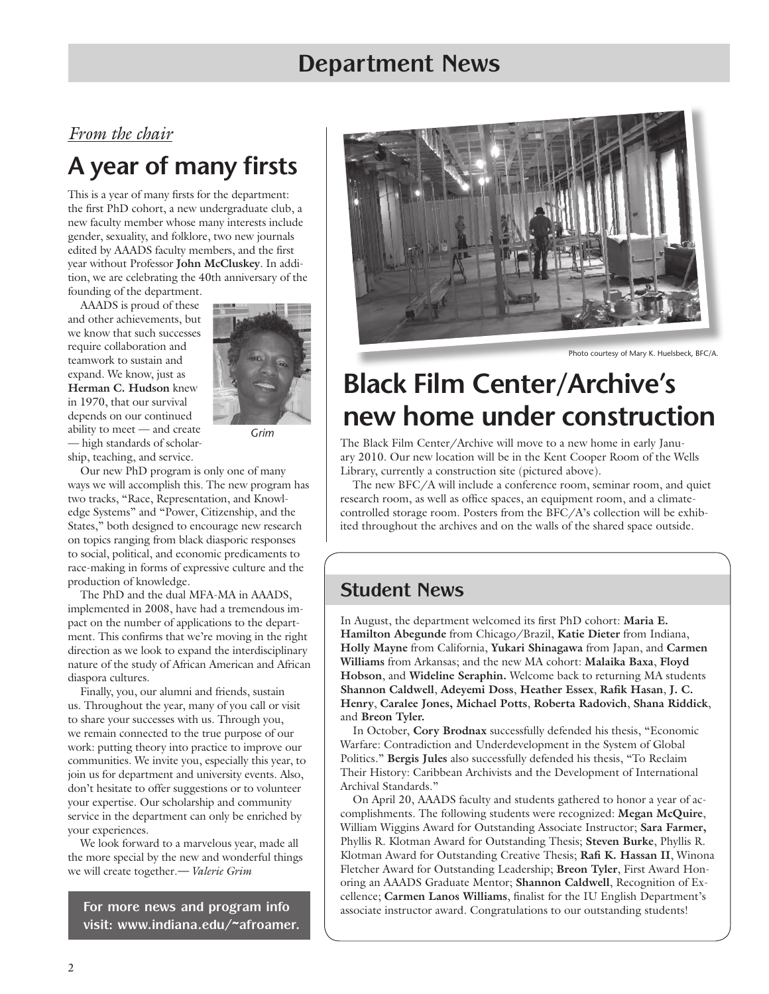### **Department News**

#### *From the chair*

# **A year of many firsts**

This is a year of many firsts for the department: the first PhD cohort, a new undergraduate club, a new faculty member whose many interests include gender, sexuality, and folklore, two new journals edited by AAADS faculty members, and the first year without Professor **John McCluskey**. In addition, we are celebrating the 40th anniversary of the founding of the department.

AAADS is proud of these and other achievements, but we know that such successes require collaboration and teamwork to sustain and expand. We know, just as **Herman C. Hudson** knew in 1970, that our survival depends on our continued ability to meet — and create — high standards of scholarship, teaching, and service.



*Grim*

Our new PhD program is only one of many ways we will accomplish this. The new program has two tracks, "Race, Representation, and Knowledge Systems" and "Power, Citizenship, and the States," both designed to encourage new research on topics ranging from black diasporic responses to social, political, and economic predicaments to race-making in forms of expressive culture and the production of knowledge.

The PhD and the dual MFA-MA in AAADS, implemented in 2008, have had a tremendous impact on the number of applications to the department. This confirms that we're moving in the right direction as we look to expand the interdisciplinary nature of the study of African American and African diaspora cultures.

Finally, you, our alumni and friends, sustain us. Throughout the year, many of you call or visit to share your successes with us. Through you, we remain connected to the true purpose of our work: putting theory into practice to improve our communities. We invite you, especially this year, to join us for department and university events. Also, don't hesitate to offer suggestions or to volunteer your expertise. Our scholarship and community service in the department can only be enriched by your experiences.

We look forward to a marvelous year, made all the more special by the new and wonderful things we will create together*.— Valerie Grim*

**For more news and program info visit: www.indiana.edu/~afroamer.**



Photo courtesy of Mary K. Huelsbeck, BFC/A.

# **Black Film Center/Archive's new home under construction**

The Black Film Center/Archive will move to a new home in early January 2010. Our new location will be in the Kent Cooper Room of the Wells Library, currently a construction site (pictured above).

The new BFC/A will include a conference room, seminar room, and quiet research room, as well as office spaces, an equipment room, and a climatecontrolled storage room. Posters from the BFC/A's collection will be exhibited throughout the archives and on the walls of the shared space outside.

#### **Student News**

In August, the department welcomed its first PhD cohort: **Maria E. Hamilton Abegunde** from Chicago/Brazil, **Katie Dieter** from Indiana, **Holly Mayne** from California, **Yukari Shinagawa** from Japan, and **Carmen Williams** from Arkansas; and the new MA cohort: **Malaika Baxa**, **Floyd Hobson**, and **Wideline Seraphin.** Welcome back to returning MA students **Shannon Caldwell**, **Adeyemi Doss**, **Heather Essex**, **Rafik Hasan**, **J. C. Henry**, **Caralee Jones, Michael Potts**, **Roberta Radovich**, **Shana Riddick**, and **Breon Tyler.** 

In October, **Cory Brodnax** successfully defended his thesis, "Economic Warfare: Contradiction and Underdevelopment in the System of Global Politics." **Bergis Jules** also successfully defended his thesis, "To Reclaim Their History: Caribbean Archivists and the Development of International Archival Standards."

On April 20, AAADS faculty and students gathered to honor a year of accomplishments. The following students were recognized: **Megan McQuire**, William Wiggins Award for Outstanding Associate Instructor; **Sara Farmer,**  Phyllis R. Klotman Award for Outstanding Thesis; **Steven Burke**, Phyllis R. Klotman Award for Outstanding Creative Thesis; **Rafi K. Hassan II**, Winona Fletcher Award for Outstanding Leadership; **Breon Tyler**, First Award Honoring an AAADS Graduate Mentor; **Shannon Caldwell**, Recognition of Excellence; **Carmen Lanos Williams**, finalist for the IU English Department's associate instructor award. Congratulations to our outstanding students!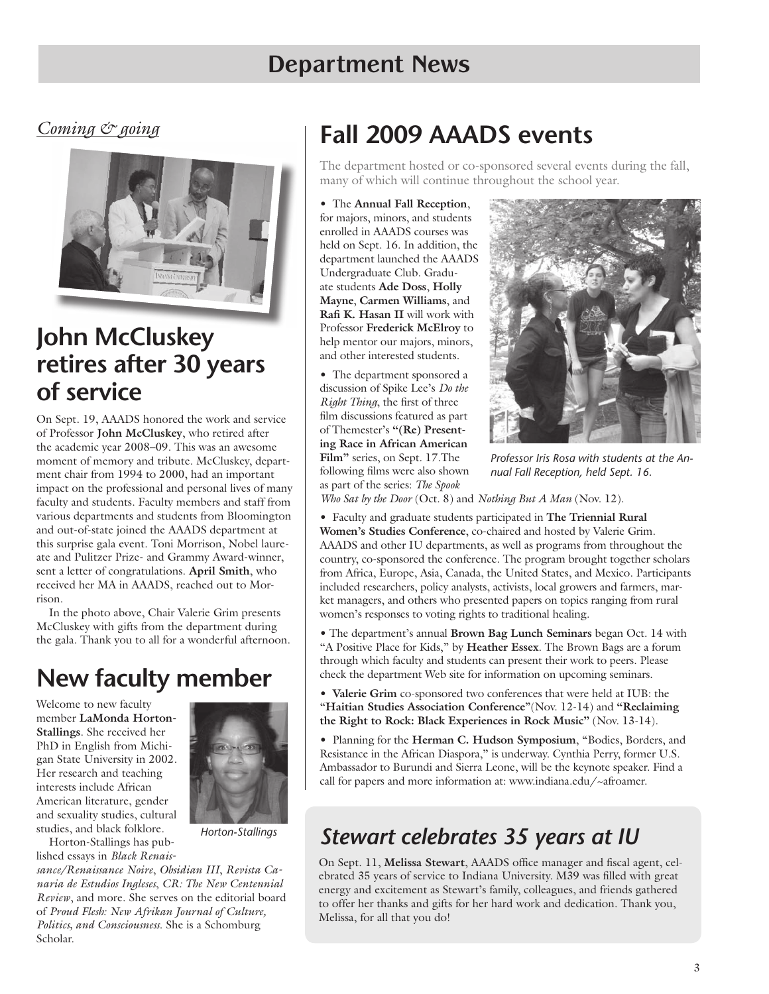## **Department News**

*Coming & going*



## **John McCluskey retires after 30 years of service**

On Sept. 19, AAADS honored the work and service of Professor **John McCluskey**, who retired after the academic year 2008–09. This was an awesome moment of memory and tribute. McCluskey, department chair from 1994 to 2000, had an important impact on the professional and personal lives of many faculty and students. Faculty members and staff from various departments and students from Bloomington and out-of-state joined the AAADS department at this surprise gala event. Toni Morrison, Nobel laureate and Pulitzer Prize- and Grammy Award-winner, sent a letter of congratulations. **April Smith**, who received her MA in AAADS, reached out to Morrison.

In the photo above, Chair Valerie Grim presents McCluskey with gifts from the department during the gala. Thank you to all for a wonderful afternoon.

# **New faculty member**

Welcome to new faculty member **LaMonda Horton-Stallings**. She received her PhD in English from Michigan State University in 2002. Her research and teaching interests include African American literature, gender and sexuality studies, cultural studies, and black folklore. Horton-Stallings has pub-



*Horton-Stallings*

lished essays in *Black Renaissance/Renaissance Noire*, *Obsidian III*, *Revista Canaria de Estudios Ingleses*, *CR: The New Centennial Review*, and more. She serves on the editorial board of *Proud Flesh: New Afrikan Journal of Culture, Politics, and Consciousness*. She is a Schomburg Scholar.

# **Fall 2009 AAADS events**

The department hosted or co-sponsored several events during the fall, many of which will continue throughout the school year.

• The **Annual Fall Reception**, for majors, minors, and students enrolled in AAADS courses was held on Sept. 16. In addition, the department launched the AAADS Undergraduate Club. Graduate students **Ade Doss**, **Holly Mayne**, **Carmen Williams**, and **Rafi K. Hasan II** will work with Professor **Frederick McElroy** to help mentor our majors, minors, and other interested students.

• The department sponsored a discussion of Spike Lee's *Do the Right Thing*, the first of three film discussions featured as part of Themester's **"(Re) Presenting Race in African American Film"** series, on Sept. 17.The following films were also shown as part of the series: *The Spook* 



*Professor Iris Rosa with students at the Annual Fall Reception, held Sept. 16.* 

*Who Sat by the Door* (Oct. 8) and *Nothing But A Man* (Nov. 12).

• Faculty and graduate students participated in **The Triennial Rural Women's Studies Conference**, co-chaired and hosted by Valerie Grim. AAADS and other IU departments, as well as programs from throughout the country, co-sponsored the conference. The program brought together scholars from Africa, Europe, Asia, Canada, the United States, and Mexico. Participants included researchers, policy analysts, activists, local growers and farmers, market managers, and others who presented papers on topics ranging from rural women's responses to voting rights to traditional healing.

• The department's annual **Brown Bag Lunch Seminars** began Oct. 14 with "A Positive Place for Kids," by **Heather Essex**. The Brown Bags are a forum through which faculty and students can present their work to peers. Please check the department Web site for information on upcoming seminars.

• **Valerie Grim** co-sponsored two conferences that were held at IUB: the "**Haitian Studies Association Conference**"(Nov. 12-14) and **"Reclaiming the Right to Rock: Black Experiences in Rock Music"** (Nov. 13-14).

• Planning for the **Herman C. Hudson Symposium**, "Bodies, Borders, and Resistance in the African Diaspora," is underway. Cynthia Perry, former U.S. Ambassador to Burundi and Sierra Leone, will be the keynote speaker. Find a call for papers and more information at: www.indiana.edu/~afroamer.

### *Stewart celebrates 35 years at IU*

On Sept. 11, **Melissa Stewart**, AAADS office manager and fiscal agent, celebrated 35 years of service to Indiana University. M39 was filled with great energy and excitement as Stewart's family, colleagues, and friends gathered to offer her thanks and gifts for her hard work and dedication. Thank you, Melissa, for all that you do!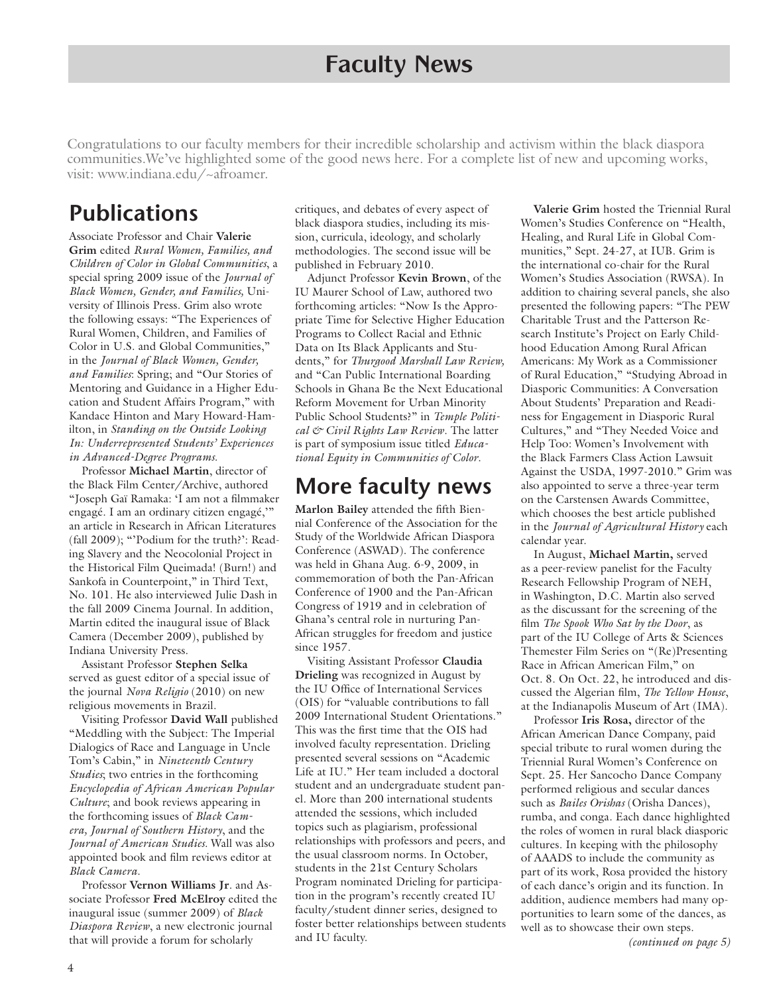#### **Faculty News**

Congratulations to our faculty members for their incredible scholarship and activism within the black diaspora communities.We've highlighted some of the good news here. For a complete list of new and upcoming works, visit: www.indiana.edu/~afroamer.

#### **Publications**

Associate Professor and Chair **Valerie Grim** edited *Rural Women, Families, and Children of Color in Global Communities*, a special spring 2009 issue of the *Journal of Black Women, Gender, and Families,* University of Illinois Press. Grim also wrote the following essays: "The Experiences of Rural Women, Children, and Families of Color in U.S. and Global Communities," in the *Journal of Black Women, Gender, and Families*: Spring; and "Our Stories of Mentoring and Guidance in a Higher Education and Student Affairs Program," with Kandace Hinton and Mary Howard-Hamilton, in *Standing on the Outside Looking In: Underrepresented Students' Experiences in Advanced-Degree Programs.* 

Professor **Michael Martin**, director of the Black Film Center/Archive, authored "Joseph Gaï Ramaka: 'I am not a filmmaker engagé. I am an ordinary citizen engagé,'" an article in Research in African Literatures (fall 2009); "'Podium for the truth?': Reading Slavery and the Neocolonial Project in the Historical Film Queimada! (Burn!) and Sankofa in Counterpoint," in Third Text, No. 101. He also interviewed Julie Dash in the fall 2009 Cinema Journal. In addition, Martin edited the inaugural issue of Black Camera (December 2009), published by Indiana University Press.

Assistant Professor **Stephen Selka**  served as guest editor of a special issue of the journal *Nova Religio* (2010) on new religious movements in Brazil.

Visiting Professor **David Wall** published "Meddling with the Subject: The Imperial Dialogics of Race and Language in Uncle Tom's Cabin," in *Nineteenth Century Studies*; two entries in the forthcoming *Encyclopedia of African American Popular Culture*; and book reviews appearing in the forthcoming issues of *Black Camera, Journal of Southern History*, and the *Journal of American Studies*. Wall was also appointed book and film reviews editor at *Black Camera*.

Professor **Vernon Williams Jr**. and Associate Professor **Fred McElroy** edited the inaugural issue (summer 2009) of *Black Diaspora Review*, a new electronic journal that will provide a forum for scholarly

critiques, and debates of every aspect of black diaspora studies, including its mission, curricula, ideology, and scholarly methodologies. The second issue will be published in February 2010.

Adjunct Professor **Kevin Brown**, of the IU Maurer School of Law, authored two forthcoming articles: "Now Is the Appropriate Time for Selective Higher Education Programs to Collect Racial and Ethnic Data on Its Black Applicants and Students," for *Thurgood Marshall Law Review,* and "Can Public International Boarding Schools in Ghana Be the Next Educational Reform Movement for Urban Minority Public School Students?" in *Temple Political & Civil Rights Law Review*. The latter is part of symposium issue titled *Educational Equity in Communities of Color*.

#### **More faculty news**

**Marlon Bailey** attended the fifth Biennial Conference of the Association for the Study of the Worldwide African Diaspora Conference (ASWAD). The conference was held in Ghana Aug. 6-9, 2009, in commemoration of both the Pan-African Conference of 1900 and the Pan-African Congress of 1919 and in celebration of Ghana's central role in nurturing Pan-African struggles for freedom and justice since 1957.

Visiting Assistant Professor **Claudia Drieling** was recognized in August by the IU Office of International Services (OIS) for "valuable contributions to fall 2009 International Student Orientations." This was the first time that the OIS had involved faculty representation. Drieling presented several sessions on "Academic Life at IU." Her team included a doctoral student and an undergraduate student panel. More than 200 international students attended the sessions, which included topics such as plagiarism, professional relationships with professors and peers, and the usual classroom norms. In October, students in the 21st Century Scholars Program nominated Drieling for participation in the program's recently created IU faculty/student dinner series, designed to foster better relationships between students and IU faculty. *(continued on page 5)*

**Valerie Grim** hosted the Triennial Rural Women's Studies Conference on "Health, Healing, and Rural Life in Global Communities," Sept. 24-27, at IUB. Grim is the international co-chair for the Rural Women's Studies Association (RWSA). In addition to chairing several panels, she also presented the following papers: "The PEW Charitable Trust and the Patterson Research Institute's Project on Early Childhood Education Among Rural African Americans: My Work as a Commissioner of Rural Education," "Studying Abroad in Diasporic Communities: A Conversation About Students' Preparation and Readiness for Engagement in Diasporic Rural Cultures," and "They Needed Voice and Help Too: Women's Involvement with the Black Farmers Class Action Lawsuit Against the USDA, 1997-2010." Grim was also appointed to serve a three-year term on the Carstensen Awards Committee, which chooses the best article published in the *Journal of Agricultural History* each calendar year.

In August, **Michael Martin,** served as a peer-review panelist for the Faculty Research Fellowship Program of NEH, in Washington, D.C. Martin also served as the discussant for the screening of the film *The Spook Who Sat by the Door*, as part of the IU College of Arts & Sciences Themester Film Series on "(Re)Presenting Race in African American Film," on Oct. 8. On Oct. 22, he introduced and discussed the Algerian film, *The Yellow House*, at the Indianapolis Museum of Art (IMA).

Professor **Iris Rosa,** director of the African American Dance Company, paid special tribute to rural women during the Triennial Rural Women's Conference on Sept. 25. Her Sancocho Dance Company performed religious and secular dances such as *Bailes Orishas* (Orisha Dances), rumba, and conga. Each dance highlighted the roles of women in rural black diasporic cultures. In keeping with the philosophy of AAADS to include the community as part of its work, Rosa provided the history of each dance's origin and its function. In addition, audience members had many opportunities to learn some of the dances, as well as to showcase their own steps.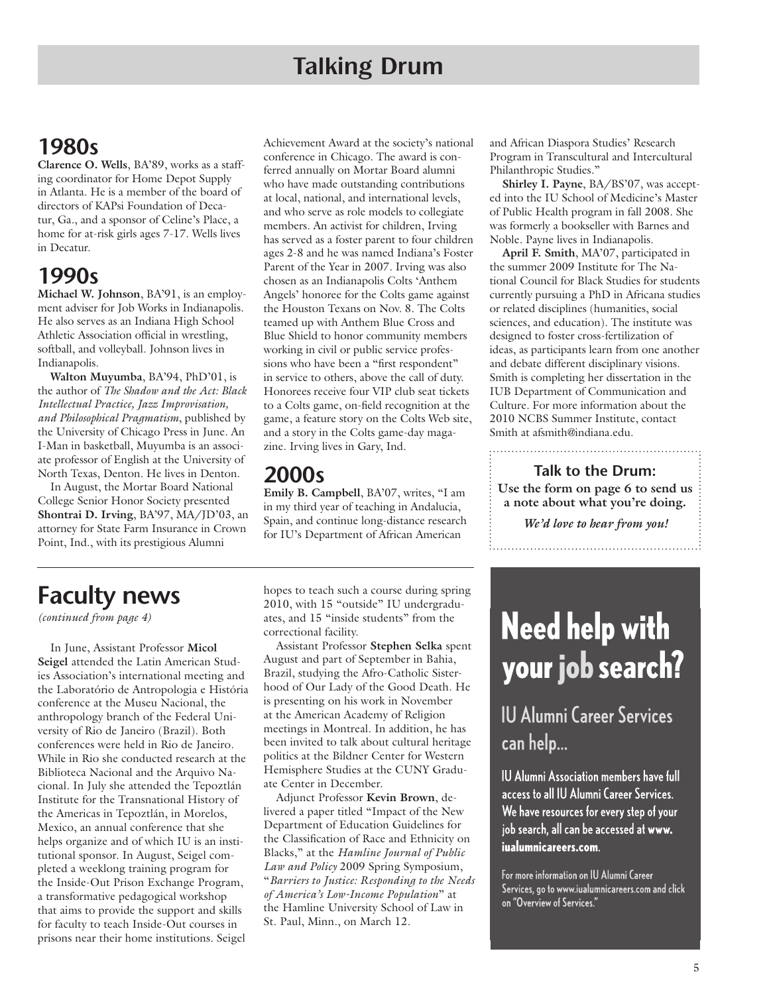### **1980s**

**Clarence O. Wells**, BA'89, works as a staffing coordinator for Home Depot Supply in Atlanta. He is a member of the board of directors of KAPsi Foundation of Decatur, Ga., and a sponsor of Celine's Place, a home for at-risk girls ages 7-17. Wells lives in Decatur.

### **1990s**

**Michael W. Johnson**, BA'91, is an employment adviser for Job Works in Indianapolis. He also serves as an Indiana High School Athletic Association official in wrestling, softball, and volleyball. Johnson lives in Indianapolis.

**Walton Muyumba**, BA'94, PhD'01, is the author of *The Shadow and the Act: Black Intellectual Practice, Jazz Improvisation, and Philosophical Pragmatism*, published by the University of Chicago Press in June. An I-Man in basketball, Muyumba is an associate professor of English at the University of North Texas, Denton. He lives in Denton.

In August, the Mortar Board National College Senior Honor Society presented **Shontrai D. Irving**, BA'97, MA/JD'03, an attorney for State Farm Insurance in Crown Point, Ind., with its prestigious Alumni

Achievement Award at the society's national conference in Chicago. The award is conferred annually on Mortar Board alumni who have made outstanding contributions at local, national, and international levels, and who serve as role models to collegiate members. An activist for children, Irving has served as a foster parent to four children ages 2-8 and he was named Indiana's Foster Parent of the Year in 2007. Irving was also chosen as an Indianapolis Colts 'Anthem Angels' honoree for the Colts game against the Houston Texans on Nov. 8. The Colts teamed up with Anthem Blue Cross and Blue Shield to honor community members working in civil or public service professions who have been a "first respondent" in service to others, above the call of duty. Honorees receive four VIP club seat tickets to a Colts game, on-field recognition at the game, a feature story on the Colts Web site, and a story in the Colts game-day magazine. Irving lives in Gary, Ind.

#### **2000s**

**Emily B. Campbell**, BA'07, writes, "I am in my third year of teaching in Andalucia, Spain, and continue long-distance research for IU's Department of African American

and African Diaspora Studies' Research Program in Transcultural and Intercultural Philanthropic Studies."

**Shirley I. Payne**, BA/BS'07, was accepted into the IU School of Medicine's Master of Public Health program in fall 2008. She was formerly a bookseller with Barnes and Noble. Payne lives in Indianapolis.

**April F. Smith**, MA'07, participated in the summer 2009 Institute for The National Council for Black Studies for students currently pursuing a PhD in Africana studies or related disciplines (humanities, social sciences, and education). The institute was designed to foster cross-fertilization of ideas, as participants learn from one another and debate different disciplinary visions. Smith is completing her dissertation in the IUB Department of Communication and Culture. For more information about the 2010 NCBS Summer Institute, contact Smith at afsmith@indiana.edu.

**Use the form on page 6 to send us a note about what you're doing. Talk to the Drum:**

*We'd love to hear from you!* 

# **Faculty news**

*(continued from page 4)*

In June, Assistant Professor **Micol Seigel** attended the Latin American Studies Association's international meeting and the Laboratório de Antropologia e História conference at the Museu Nacional, the anthropology branch of the Federal University of Rio de Janeiro (Brazil). Both conferences were held in Rio de Janeiro. While in Rio she conducted research at the Biblioteca Nacional and the Arquivo Nacional. In July she attended the Tepoztlán Institute for the Transnational History of the Americas in Tepoztlán, in Morelos, Mexico, an annual conference that she helps organize and of which IU is an institutional sponsor. In August, Seigel completed a weeklong training program for the Inside-Out Prison Exchange Program, a transformative pedagogical workshop that aims to provide the support and skills for faculty to teach Inside-Out courses in prisons near their home institutions. Seigel

hopes to teach such a course during spring 2010, with 15 "outside" IU undergraduates, and 15 "inside students" from the correctional facility.

Assistant Professor **Stephen Selka** spent August and part of September in Bahia, Brazil, studying the Afro-Catholic Sisterhood of Our Lady of the Good Death. He is presenting on his work in November at the American Academy of Religion meetings in Montreal. In addition, he has been invited to talk about cultural heritage politics at the Bildner Center for Western Hemisphere Studies at the CUNY Graduate Center in December.

Adjunct Professor **Kevin Brown**, delivered a paper titled "Impact of the New Department of Education Guidelines for the Classification of Race and Ethnicity on Blacks," at the *Hamline Journal of Public Law and Policy* 2009 Spring Symposium, "*Barriers to Justice: Responding to the Needs of America's Low-Income Population*" at the Hamline University School of Law in St. Paul, Minn., on March 12.

# **Need help with** your job search?

**IU Alumni Career Services** can help...

**IU Alumni Association members have full** access to all IU Alumni Career Services. We have resources for every step of your job search, all can be accessed at www. iualumnicareers.com.

For more information on IU Alumni Career Services, go to www.iualumnicareers.com and click on "Overview of Services."